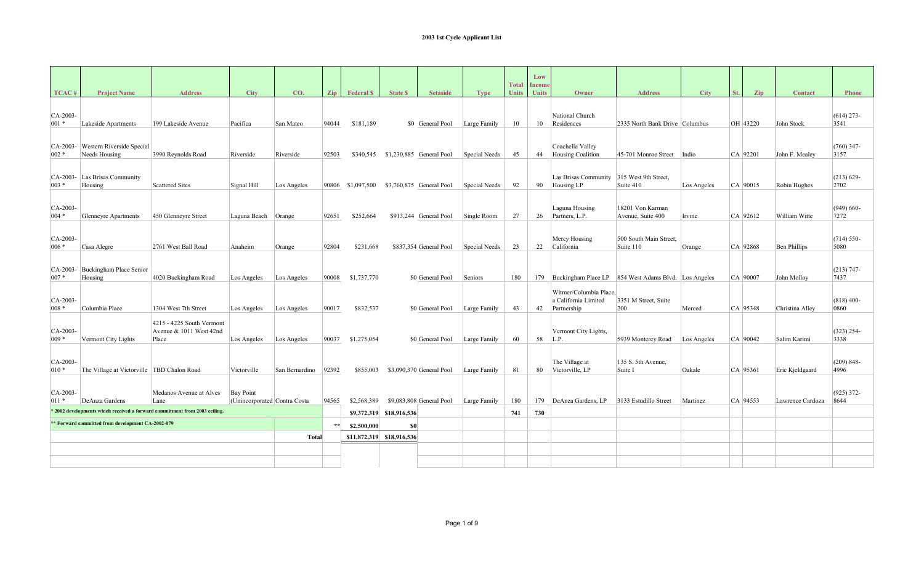| TCAC#                 | <b>Project Name</b>                               | <b>Address</b>                                                             | <b>City</b>                                      | CO.            | Zin   | <b>Federal S</b>  | <b>State S</b>            | <b>Setaside</b>          | <b>Type</b>   | <b>Total</b><br><b>Units</b> | Low<br>Income<br><b>Units</b> | Owner                                                         | <b>Address</b>                                           | <b>City</b> | St. | Zip      | <b>Contact</b>   | <b>Phone</b>          |
|-----------------------|---------------------------------------------------|----------------------------------------------------------------------------|--------------------------------------------------|----------------|-------|-------------------|---------------------------|--------------------------|---------------|------------------------------|-------------------------------|---------------------------------------------------------------|----------------------------------------------------------|-------------|-----|----------|------------------|-----------------------|
| $CA-2003-$<br>$001 *$ | Lakeside Apartments                               | 199 Lakeside Avenue                                                        | Pacifica                                         | San Mateo      | 94044 | \$181,189         |                           | \$0 General Pool         | Large Family  | 10                           | 10                            | National Church<br>Residences                                 | 2335 North Bank Drive Columbus                           |             |     | OH 43220 | John Stock       | $(614)$ 273-<br>3541  |
| $CA-2003-$<br>$002 *$ | Western Riverside Special<br>Needs Housing        | 3990 Reynolds Road                                                         | Riverside                                        | Riverside      | 92503 | \$340,545         |                           | \$1,230,885 General Pool | Special Needs | 45                           | 44                            | Coachella Valley<br>Housing Coalition                         | 45-701 Monroe Street                                     | Indio       |     | CA 92201 | John F. Mealey   | $(760)$ 347-<br>3157  |
| $CA-2003$<br>$003 *$  | Las Brisas Community<br>Housing                   | <b>Scattered Sites</b>                                                     | Signal Hill                                      | Los Angeles    |       | 90806 \$1,097,500 |                           | \$3,760,875 General Pool | Special Needs | 92                           | 90                            | Las Brisas Community<br>Housing LP                            | 315 West 9th Street.<br>Suite 410                        | Los Angeles |     | CA 90015 | Robin Hughes     | $(213) 629 -$<br>2702 |
| CA-2003-<br>$004 *$   | <b>Glenneyre Apartments</b>                       | 450 Glenneyre Street                                                       | Laguna Beach Orange                              |                | 92651 | \$252,664         |                           | \$913,244 General Pool   | Single Room   | 27                           | 26                            | Laguna Housing<br>Partners, L.P.                              | 18201 Von Karman<br>Avenue, Suite 400                    | Irvine      |     | CA 92612 | William Witte    | $(949) 660-$<br>7272  |
| $CA-2003-$<br>$006 *$ | Casa Alegre                                       | 2761 West Ball Road                                                        | Anaheim                                          | Orange         | 92804 | \$231,668         |                           | \$837,354 General Pool   | Special Needs | 23                           | 22                            | Mercy Housing<br>California                                   | 500 South Main Street,<br>Suite 110                      | Orange      |     | CA 92868 | Ben Phillips     | $(714) 550-$<br>5080  |
| $CA-2003-$<br>$007 *$ | Buckingham Place Senior<br>Housing                | 4020 Buckingham Road                                                       | Los Angeles                                      | Los Angeles    | 90008 | \$1,737,770       |                           | \$0 General Pool         | Seniors       | 180                          |                               |                                                               | 179 Buckingham Place LP 854 West Adams Blvd. Los Angeles |             |     | CA 90007 | John Molloy      | $(213) 747 -$<br>7437 |
| $CA-2003-$<br>$008 *$ | Columbia Place                                    | 1304 West 7th Street                                                       | Los Angeles                                      | Los Angeles    | 90017 | \$832,537         |                           | \$0 General Pool         | Large Family  | 43                           | 42                            | Witmer/Columbia Place,<br>a California Limited<br>Partnership | 3351 M Street, Suite<br>200                              | Merced      |     | CA 95348 | Christina Alley  | $(818)$ 400-<br>0860  |
| CA-2003-<br>$009 *$   | Vermont City Lights                               | 4215 - 4225 South Vermont<br>Avenue $& 1011$ West 42nd<br>Place            | Los Angeles                                      | Los Angeles    | 90037 | \$1,275,054       |                           | \$0 General Pool         | Large Family  | 60                           | 58                            | Vermont City Lights,<br>L.P.                                  | 5939 Monterey Road                                       | Los Angeles |     | CA 90042 | Salim Karimi     | $(323)$ 254-<br>3338  |
| $CA-2003-$<br>$010 *$ | The Village at Victorville TBD Chalon Road        |                                                                            | Victorville                                      | San Bernardino | 92392 | \$855,003         |                           | \$3,090,370 General Pool | Large Family  | 81                           | 80                            | The Village at<br>Victorville, LP                             | 135 S. 5th Avenue.<br>Suite I                            | Oakale      |     | CA 95361 | Eric Kjeldgaard  | $(209) 848 -$<br>4996 |
| CA-2003-<br>$011 *$   | DeAnza Gardens                                    | Medanos Avenue at Alves<br>Lane                                            | <b>Bay Point</b><br>(Unincorporated Contra Costa |                | 94565 | \$2,568,389       |                           | \$9,083,808 General Pool | Large Family  | 180                          | 179                           | DeAnza Gardens, LP                                            | 3133 Estudillo Street                                    | Martinez    |     | CA 94553 | Lawrence Cardoza | $(925)$ 372-<br>8644  |
|                       |                                                   | * 2002 developments which received a forward commitment from 2003 ceiling. |                                                  |                |       |                   | \$9,372,319 \$18,916,536  |                          |               | 741                          | 730                           |                                                               |                                                          |             |     |          |                  |                       |
|                       | ** Forward committed from development CA-2002-079 |                                                                            |                                                  |                | $*$   | \$2,500,000       | \$0                       |                          |               |                              |                               |                                                               |                                                          |             |     |          |                  |                       |
|                       |                                                   |                                                                            |                                                  | Total          |       |                   | \$11,872,319 \$18,916,536 |                          |               |                              |                               |                                                               |                                                          |             |     |          |                  |                       |
|                       |                                                   |                                                                            |                                                  |                |       |                   |                           |                          |               |                              |                               |                                                               |                                                          |             |     |          |                  |                       |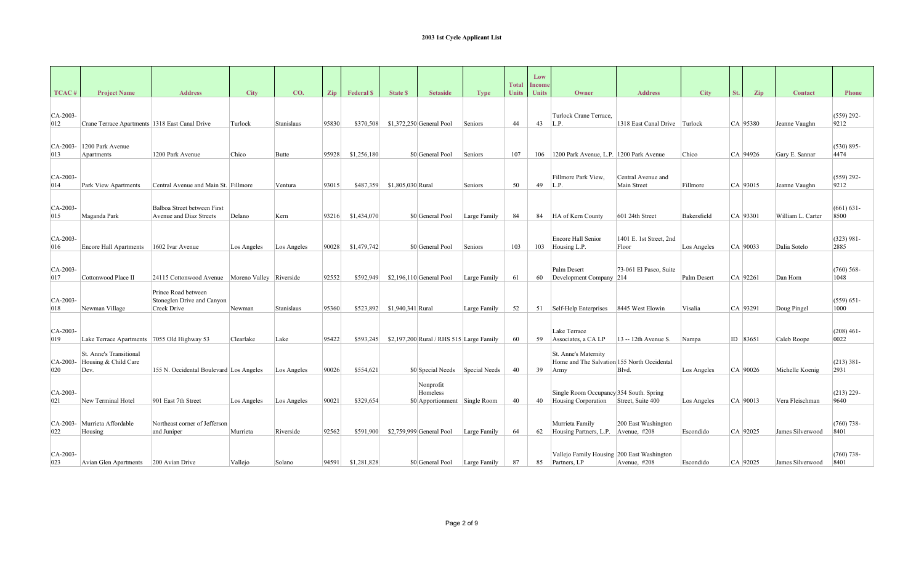|                   |                                                         |                                                                  |             |              |       |                  |                   |                                                        |              | <b>Total</b> | Low<br>Income |                                                                             |                                     |             |     |            |                   |                       |
|-------------------|---------------------------------------------------------|------------------------------------------------------------------|-------------|--------------|-------|------------------|-------------------|--------------------------------------------------------|--------------|--------------|---------------|-----------------------------------------------------------------------------|-------------------------------------|-------------|-----|------------|-------------------|-----------------------|
| TCAC <sup>#</sup> | <b>Project Name</b>                                     | <b>Address</b>                                                   | <b>City</b> | CO.          | Zip   | <b>Federal S</b> | <b>State \$</b>   | <b>Setaside</b>                                        | <b>Type</b>  | <b>Units</b> | <b>Units</b>  | Owner                                                                       | <b>Address</b>                      | <b>City</b> | St. | Zip        | <b>Contact</b>    | <b>Phone</b>          |
| $CA-2003-$<br>012 | Crane Terrace Apartments 1318 East Canal Drive          |                                                                  | Turlock     | Stanislaus   | 95830 | \$370,508        |                   | $$1,372,250$ General Pool                              | Seniors      | 44           | 43            | Turlock Crane Terrace,<br>L.P.                                              | 1318 East Canal Drive Turlock       |             |     | CA 95380   | Jeanne Vaughn     | $(559)$ 292-<br>9212  |
| CA-2003-<br>013   | 1200 Park Avenue<br>Apartments                          | 1200 Park Avenue                                                 | Chico       | <b>Butte</b> | 95928 | \$1,256,180      |                   | \$0 General Pool                                       | Seniors      | 107          | 106           | 1200 Park Avenue, L.P. 1200 Park Avenue                                     |                                     | Chico       |     | CA 94926   | Gary E. Sannar    | $(530) 895 -$<br>4474 |
| $CA-2003$<br>014  | Park View Apartments                                    | Central Avenue and Main St. Fillmore                             |             | Ventura      | 93015 | \$487,359        | \$1,805,030 Rural |                                                        | Seniors      | 50           | 49            | Fillmore Park View,<br>L.P.                                                 | Central Avenue and<br>Main Street   | Fillmore    |     | CA 93015   | Jeanne Vaughn     | $(559)$ 292-<br>9212  |
| CA-2003-<br>015   | Maganda Park                                            | Balboa Street between First<br><b>Avenue and Diaz Streets</b>    | Delano      | Kern         | 93216 | \$1,434,070      |                   | \$0 General Pool                                       | Large Family | 84           | 84            | HA of Kern County                                                           | 601 24th Street                     | Bakersfield |     | CA 93301   | William L. Carter | $(661) 631 -$<br>8500 |
| $CA-2003-$<br>016 | <b>Encore Hall Apartments</b>                           | 1602 Ivar Avenue                                                 | Los Angeles | Los Angeles  | 90028 | \$1,479,742      |                   | \$0 General Pool                                       | Seniors      | 103          | 103           | Encore Hall Senior<br>Housing L.P.                                          | 1401 E. 1st Street, 2nd<br>Floor    | Los Angeles |     | CA 90033   | Dalia Sotelo      | $(323) 981 -$<br>2885 |
| $CA-2003-$<br>017 | Cottonwood Place II                                     | 24115 Cottonwood Avenue   Moreno Valley   Riverside              |             |              | 92552 | \$592,949        |                   | $$2,196,110$ General Pool                              | Large Family | 61           | 60            | Palm Desert<br>Development Company                                          | 73-061 El Paseo, Suite<br> 214      | Palm Desert |     | CA 92261   | Dan Horn          | $(760)$ 568-<br>1048  |
| CA-2003-<br>018   | Newman Village                                          | Prince Road between<br>Stoneglen Drive and Canyon<br>Creek Drive | Newman      | Stanislaus   | 95360 | \$523.892        | \$1,940,341 Rural |                                                        | Large Family | 52           |               | 51 Self-Help Enterprises                                                    | 8445 West Elowin                    | Visalia     |     | CA 93291   | Doug Pingel       | $(559) 651 -$<br>1000 |
| $CA-2003-$<br>019 | Lake Terrace Apartments                                 | 7055 Old Highway 53                                              | Clearlake   | Lake         | 95422 | \$593,245        |                   | $$2,197,200$ Rural / RHS 515 Large Family              |              | 60           | 59            | Lake Terrace<br>Associates, a CA LP                                         | 13 -- 12th Avenue S.                | Nampa       |     | ID 83651   | Caleb Roope       | $(208)$ 461-<br>0022  |
| CA-2003-<br>020   | St. Anne's Transitional<br>Housing & Child Care<br>Dev. | 155 N. Occidental Boulevard Los Angeles                          |             | Los Angeles  | 90026 | \$554,621        |                   | \$0 Special Needs Special Needs                        |              | 40           | 39            | St. Anne's Maternity<br>Home and The Salvation 155 North Occidental<br>Army | Blvd.                               | Los Angeles |     | CA 90026   | Michelle Koenig   | $(213) 381 -$<br>2931 |
| $CA-2003-$<br>021 | New Terminal Hotel                                      | 901 East 7th Street                                              | Los Angeles | Los Angeles  | 90021 | \$329,654        |                   | Nonprofit<br>Homeless<br>\$0 Apportionment Single Room |              | 40           | 40            | Single Room Occupancy 354 South. Spring<br>Housing Corporation              | Street, Suite 400                   | Los Angeles |     | $CA$ 90013 | Vera Fleischman   | $(213)$ 229-<br>9640  |
| CA-2003-<br>022   | Murrieta Affordable<br>Housing                          | Northeast corner of Jefferson<br>and Juniper                     | Murrieta    | Riverside    | 92562 | \$591.900        |                   | \$2,759,999 General Pool                               | Large Family | 64           | 62            | Murrieta Family<br>Housing Partners, L.P.                                   | 200 East Washington<br>Avenue, #208 | Escondido   |     | CA 92025   | James Silverwood  | $(760)$ 738-<br>8401  |
| $CA-2003-$<br>023 | <b>Avian Glen Apartments</b>                            | 200 Avian Drive                                                  | Vallejo     | Solano       | 94591 | \$1,281,828      |                   | \$0 General Pool                                       | Large Family | 87           | 85            | Vallejo Family Housing 200 East Washington<br>Partners, LP                  | Avenue, #208                        | Escondido   |     | CA 92025   | James Silverwood  | $(760)$ 738-<br>8401  |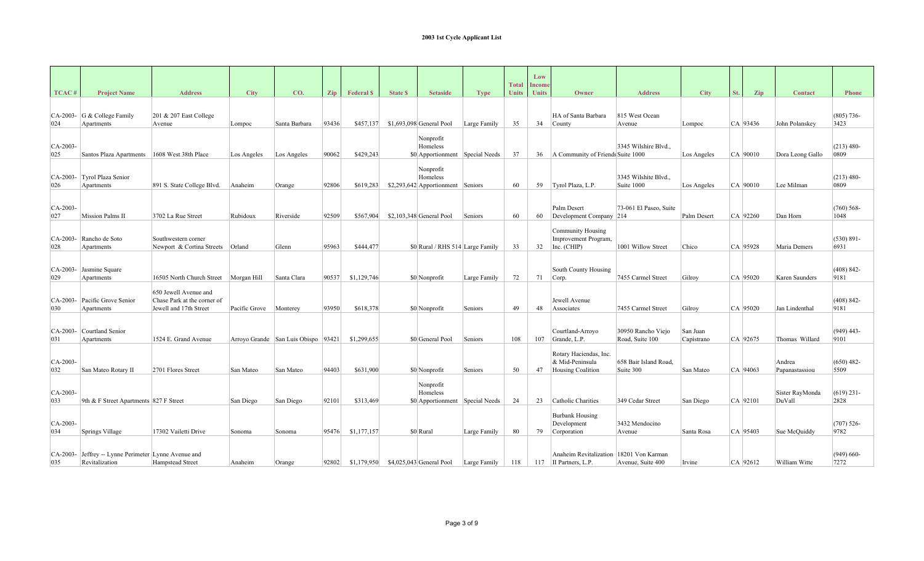|                   |                                                               |                                                                                |                          |                                     |       |                  |                 |                                                            |                |                              | Low                    |                                                                |                                       |                        |     |          |                           |                       |
|-------------------|---------------------------------------------------------------|--------------------------------------------------------------------------------|--------------------------|-------------------------------------|-------|------------------|-----------------|------------------------------------------------------------|----------------|------------------------------|------------------------|----------------------------------------------------------------|---------------------------------------|------------------------|-----|----------|---------------------------|-----------------------|
| TCAC <sup>#</sup> | <b>Project Name</b>                                           | <b>Address</b>                                                                 | <b>City</b>              | CO.                                 | Zip   | <b>Federal S</b> | <b>State \$</b> | <b>Setaside</b>                                            | <b>Type</b>    | <b>Total</b><br><b>Units</b> | Income<br><b>Units</b> | Owner                                                          | <b>Address</b>                        | <b>City</b>            | St. | Zip      | <b>Contact</b>            | <b>Phone</b>          |
| 024               | CA-2003- G & College Family<br>Apartments                     | $201 \& 207$ East College<br>Avenue                                            | Lompoc                   | Santa Barbara                       | 93436 | \$457,137        |                 | \$1,693,098 General Pool                                   | Large Family   | 35                           | 34                     | HA of Santa Barbara<br>County                                  | 815 West Ocean<br>Avenue              | Lompoc                 |     | CA 93436 | John Polanskey            | $(805) 736-$<br>3423  |
| CA-2003-<br>025   | Santos Plaza Apartments                                       | 1608 West 38th Place                                                           | Los Angeles              | Los Angeles                         | 90062 | \$429,243        |                 | Nonprofit<br>Homeless<br>\$0 Apportionment Special Needs   |                | 37                           | 36                     | A Community of Friends Suite 1000                              | 3345 Wilshire Blvd                    | Los Angeles            |     | CA 90010 | Dora Leong Gallo          | $(213)$ 480-<br>0809  |
| CA-2003-<br>026   | Tyrol Plaza Senior<br>Apartments                              | 891 S. State College Blvd.                                                     | Anaheim                  | Orange                              | 92806 | \$619,283        |                 | Nonprofit<br>Homeless<br>\$2,293,642 Apportionment Seniors |                | 60                           | 59                     | Tyrol Plaza, L.P.                                              | 3345 Wilshite Blvd.,<br>Suite 1000    | Los Angeles            |     | CA 90010 | Lee Milman                | $(213)$ 480-<br>0809  |
| CA-2003-<br>027   | Mission Palms II                                              | 3702 La Rue Street                                                             | Rubidoux                 | Riverside                           | 92509 | \$567,904        |                 | $$2,103,348$ General Pool                                  | Seniors        | 60                           | 60                     | Palm Desert<br>Development Company 214                         | 73-061 El Paseo, Suite                | Palm Desert            |     | CA 92260 | Dan Horn                  | $(760)$ 568-<br>1048  |
| $CA-2003-$<br>028 | Rancho de Soto<br>Apartments                                  | Southwestern corner<br>Newport & Cortina Streets   Orland                      |                          | Glenn                               | 95963 | \$444,477        |                 | \$0 Rural / RHS 514 Large Family                           |                | 33                           | 32                     | Community Housing<br>Improvement Program.<br>Inc. (CHIP)       | 1001 Willow Street                    | Chico                  |     | CA 95928 | Maria Demers              | $(530) 891 -$<br>6931 |
| CA-2003-<br>029   | Jasmine Square<br>Apartments                                  | 16505 North Church Street   Morgan Hill                                        |                          | Santa Clara                         | 90537 | \$1,129,746      |                 | \$0 Nonprofit                                              | Large Family   | 72                           | 71                     | South County Housing<br>Corp.                                  | 7455 Carmel Street                    | Gilroy                 |     | CA 95020 | Karen Saunders            | $(408) 842 -$<br>9181 |
| CA-2003-<br>030   | Pacific Grove Senior<br>Apartments                            | 650 Jewell Avenue and<br>Chase Park at the corner of<br>Jewell and 17th Street | Pacific Grove   Monterey |                                     | 93950 | \$618,378        |                 | \$0 Nonprofit                                              | Seniors        | 49                           | 48                     | Jewell Avenue<br>Associates                                    | 7455 Carmel Street                    | Gilroy                 |     | CA 95020 | Jan Lindenthal            | $(408) 842 -$<br>9181 |
| $CA-2003-$<br>031 | Courtland Senior<br>Apartments                                | 1524 E. Grand Avenue                                                           |                          | Arroyo Grande San Luis Obispo 93421 |       | \$1,299,655      |                 | \$0 General Pool                                           | <b>Seniors</b> | 108                          | 107                    | Courtland-Arroyo<br>Grande, L.P.                               | 30950 Rancho Viejo<br>Road, Suite 100 | San Juan<br>Capistrano |     | CA 92675 | Thomas Willard            | $(949)$ 443-<br>9101  |
| $CA-2003-$<br>032 | San Mateo Rotary II                                           | 2701 Flores Street                                                             | San Mateo                | San Mateo                           | 94403 | \$631,900        |                 | \$0 Nonprofit                                              | Seniors        | 50                           | 47                     | Rotary Haciendas, Inc.<br>& Mid-Peninsula<br>Housing Coalition | 658 Bair Island Road.<br>Suite 300    | San Mateo              |     | CA 94063 | Andrea<br>Papanastassiou  | $(650)$ 482-<br>5509  |
| $CA-2003-$<br>033 | 9th & F Street Apartments 827 F Street                        |                                                                                | San Diego                | San Diego                           | 92101 | \$313,469        |                 | Nonprofit<br>Homeless<br>\$0 Apportionment Special Needs   |                | 24                           | 23                     | Catholic Charities                                             | 349 Cedar Street                      | San Diego              |     | CA 92101 | Sister RayMonda<br>DuVall | $(619)$ 231-<br>2828  |
| $CA-2003-$<br>034 | Springs Village                                               | 17302 Vailetti Drive                                                           | Sonoma                   | Sonoma                              | 95476 | \$1,177,157      |                 | \$0 Rural                                                  | Large Family   | 80                           | 79                     | <b>Burbank Housing</b><br>Development<br>Corporation           | 3432 Mendocino<br>Avenue              | Santa Rosa             |     | CA 95403 | Sue McQuiddy              | $(707)$ 526-<br>9782  |
| CA-2003-<br>035   | Jeffrey -- Lynne Perimeter Lynne Avenue and<br>Revitalization | Hampstead Street                                                               | Anaheim                  | Orange                              | 92802 | \$1,179,950      |                 | $$4,025,043$ General Pool                                  | Large Family   | 118                          | 117                    | <b>Anaheim Revitalization</b><br>II Partners, L.P.             | 18201 Von Karman<br>Avenue, Suite 400 | Irvine                 |     | CA 92612 | William Witte             | $(949) 660-$<br>7272  |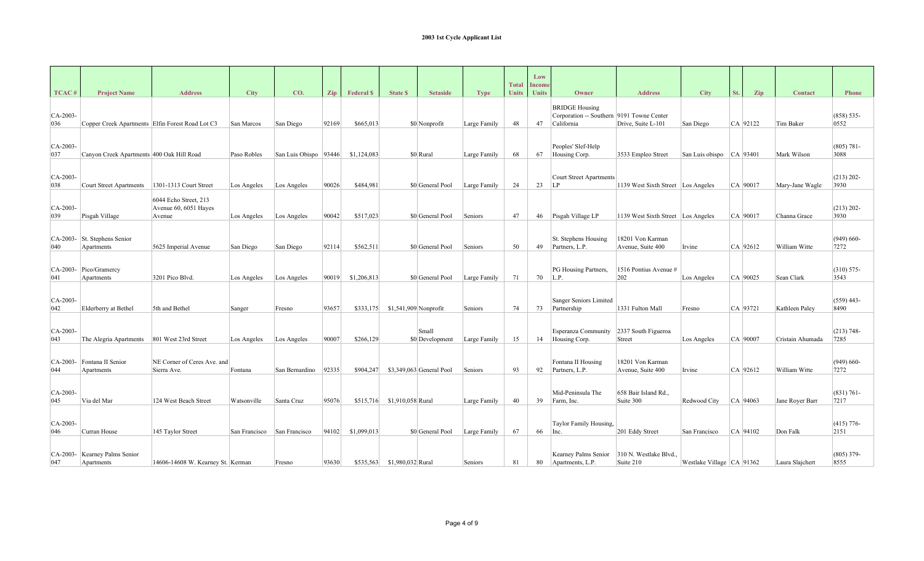|                   |                                                  |                                                          |                             |                         |       |                  |                                   |                          |              | <b>Total</b> | Low                    |                                                                                  |                                       |                               |     |            |                  |                       |
|-------------------|--------------------------------------------------|----------------------------------------------------------|-----------------------------|-------------------------|-------|------------------|-----------------------------------|--------------------------|--------------|--------------|------------------------|----------------------------------------------------------------------------------|---------------------------------------|-------------------------------|-----|------------|------------------|-----------------------|
| TCAC <sup>#</sup> | <b>Project Name</b>                              | <b>Address</b>                                           | <b>City</b>                 | CO.                     | Zip   | <b>Federal S</b> | <b>State \$</b>                   | <b>Setaside</b>          | <b>Type</b>  | <b>Units</b> | <b>Income</b><br>Units | Owner                                                                            | <b>Address</b>                        | <b>City</b>                   | St. | Zip        | <b>Contact</b>   | <b>Phone</b>          |
| $CA-2003-$<br>036 | Copper Creek Apartments Elfin Forest Road Lot C3 |                                                          | San Marcos                  | San Diego               | 92169 | \$665,013        |                                   | \$0 Nonprofit            | Large Family | 48           | 47                     | <b>BRIDGE Housing</b><br>Corporation -- Southern 9191 Towne Center<br>California | Drive, Suite L-101                    | San Diego                     |     | CA 92122   | Tim Baker        | $(858) 535 -$<br>0552 |
| $CA-2003-$<br>037 | Canyon Creek Apartments 400 Oak Hill Road        |                                                          | Paso Robles                 | San Luis Obispo   93446 |       | \$1,124,083      |                                   | \$0 Rural                | Large Family | 68           | 67                     | Peoples' Slef-Help<br>Housing Corp.                                              | 3533 Empleo Street                    | San Luis obispo   CA   93401  |     |            | Mark Wilson      | $(805) 781 -$<br>3088 |
| $CA-2003-$<br>038 | <b>Court Street Apartments</b>                   | 1301-1313 Court Street                                   | Los Angeles                 | Los Angeles             | 90026 | \$484,981        |                                   | \$0 General Pool         | Large Family | 24           | 23                     | <b>Court Street Apartments</b><br>ILP                                            | 1139 West Sixth Street   Los Angeles  |                               |     | $CA$ 90017 | Mary-Jane Wagle  | $(213) 202 -$<br>3930 |
| CA-2003-<br>039   | Pisgah Village                                   | 6044 Echo Street, 213<br>Avenue 60, 6051 Hayes<br>Avenue | Los Angeles                 | Los Angeles             | 90042 | \$517,023        |                                   | \$0 General Pool         | Seniors      | 47           | 46                     | Pisgah Village LP                                                                | 1139 West Sixth Street Los Angeles    |                               |     | CA 90017   | Channa Grace     | $(213)$ 202-<br>3930  |
| $CA-2003-$<br>040 | St. Stephens Senior<br>Apartments                | 5625 Imperial Avenue                                     | San Diego                   | San Diego               | 92114 | \$562,511        |                                   | \$0 General Pool         | Seniors      | 50           | 49                     | St. Stephens Housing<br>Partners, L.P.                                           | 18201 Von Karman<br>Avenue, Suite 400 | Irvine                        |     | CA 92612   | William Witte    | $(949) 660-$<br>7272  |
| CA-2003-<br>041   | Pico/Gramercy<br>Apartments                      | 3201 Pico Blvd.                                          | Los Angeles                 | Los Angeles             | 90019 | \$1,206,813      |                                   | \$0 General Pool         | Large Family | 71           | 70                     | PG Housing Partners,<br>L.P.                                                     | 1516 Pontius Avenue #<br>202          | Los Angeles                   |     | CA 90025   | Sean Clark       | $(310) 575 -$<br>3543 |
| CA-2003-<br>042   | Elderberry at Bethel                             | 5th and Bethel                                           | Sanger                      | Fresno                  | 93657 |                  | $$333,175$ $$1,541,909$ Nonprofit |                          | Seniors      | 74           | 73                     | Sanger Seniors Limited<br>Partnership                                            | 1331 Fulton Mall                      | Fresno                        |     | CA 93721   | Kathleen Paley   | $(559)$ 443-<br>8490  |
| CA-2003-<br>043   | The Alegria Apartments                           | 801 West 23rd Street                                     | Los Angeles                 | Los Angeles             | 90007 | \$266,129        |                                   | Small<br>\$0 Development | Large Family | 15           | 14                     | Esperanza Community<br>Housing Corp.                                             | 2337 South Figueroa<br>Street         | Los Angeles                   |     | CA 90007   | Cristain Ahumada | $(213) 748 -$<br>7285 |
| CA-2003-<br>044   | Fontana II Senior<br>Apartments                  | NE Corner of Ceres Ave. and<br>Sierra Ave.               | Fontana                     | San Bernardino          | 92335 | \$904,247        |                                   | \$3,349,063 General Pool | Seniors      | 93           | 92                     | Fontana II Housing<br>Partners, L.P.                                             | 18201 Von Karman<br>Avenue, Suite 400 | Irvine                        |     | CA 92612   | William Witte    | $(949) 660-$<br>7272  |
| $CA-2003-$<br>045 | Via del Mar                                      | 124 West Beach Street                                    | Watsonville                 | Santa Cruz              | 95076 | \$515,716        | \$1,910,058 Rural                 |                          | Large Family | 40           | 39                     | Mid-Peninsula The<br>Farm, Inc.                                                  | 658 Bair Island Rd<br>Suite 300       | Redwood City                  |     | CA 94063   | Jane Rover Barr  | $(831) 761 -$<br>7217 |
| $CA-2003-$<br>046 | Curran House                                     | 145 Taylor Street                                        | San Francisco San Francisco |                         | 94102 | \$1,099,013      |                                   | \$0 General Pool         | Large Family | 67           | 66                     | Taylor Family Housing,<br>Inc.                                                   | 201 Eddy Street                       | San Francisco                 |     | CA 94102   | Don Falk         | $(415)$ 776-<br>2151  |
| CA-2003-<br>047   | Kearney Palms Senior<br>Apartments               | 14606-14608 W. Kearney St. Kerman                        |                             | Fresno                  | 93630 | \$535,563        | \$1,980,032 Rural                 |                          | Seniors      | 81           | 80                     | Kearney Palms Senior<br>Apartments, L.P.                                         | 310 N. Westlake Blvd<br>Suite 210     | Westlake Village   CA   91362 |     |            | Laura Slajchert  | $(805)$ 379-<br>8555  |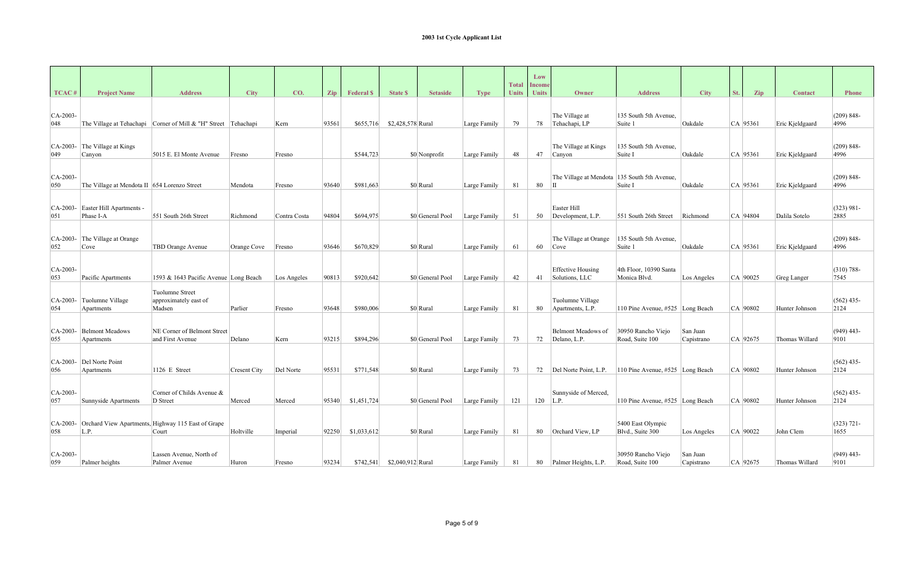|                    |                                              |                                                                |                      |              |       |                  |                   |                  |              | <b>Total</b> | Low<br>Income |                                            |                                        |                        |     |            |                 |                       |
|--------------------|----------------------------------------------|----------------------------------------------------------------|----------------------|--------------|-------|------------------|-------------------|------------------|--------------|--------------|---------------|--------------------------------------------|----------------------------------------|------------------------|-----|------------|-----------------|-----------------------|
| TCAC <sup>#</sup>  | <b>Project Name</b>                          | <b>Address</b>                                                 | <b>City</b>          | CO.          | Zip   | <b>Federal S</b> | <b>State \$</b>   | <b>Setaside</b>  | <b>Type</b>  | <b>Units</b> | <b>Units</b>  | Owner                                      | <b>Address</b>                         | <b>City</b>            | St. | Zip        | <b>Contact</b>  | <b>Phone</b>          |
| $CA-2003-$<br>048  |                                              | The Village at Tehachapi Corner of Mill & "H" Street Tehachapi |                      | Kern         | 93561 | \$655,716        | \$2,428,578 Rural |                  | Large Family | 79           | 78            | The Village at<br>Tehachapi, LP            | 135 South 5th Avenue,<br>Suite 1       | Oakdale                |     | CA 95361   | Eric Kjeldgaard | $(209) 848 -$<br>4996 |
| CA-2003-<br>049    | The Village at Kings<br>Canyon               | 5015 E. El Monte Avenue                                        | Fresno               | Fresno       |       | \$544,723        |                   | \$0 Nonprofit    | Large Family | 48           | 47            | The Village at Kings<br>Canyon             | 135 South 5th Avenue,<br>Suite I       | Oakdale                |     | CA 95361   | Eric Kjeldgaard | $(209) 848 -$<br>4996 |
| CA-2003-<br>050    | The Village at Mendota II 654 Lorenzo Street |                                                                | Mendota              | Fresno       | 93640 | \$981,663        |                   | \$0 Rural        | Large Family | 81           | 80            | The Village at Mendota<br>lП               | 135 South 5th Avenue,<br>Suite I       | Oakdale                |     | CA 95361   | Eric Kjeldgaard | $(209) 848 -$<br>4996 |
| CA-2003-<br>051    | Easter Hill Apartments -<br>Phase I-A        | 551 South 26th Street                                          | Richmond             | Contra Costa | 94804 | \$694,975        |                   | \$0 General Pool | Large Family | 51           | 50            | Easter Hill<br>Development, L.P.           | 551 South 26th Street                  | Richmond               |     | CA 94804   | Dalila Sotelo   | $(323) 981 -$<br>2885 |
| CA-2003-<br>052    | The Village at Orange<br>Cove                | TBD Orange Avenue                                              | Orange Cove   Fresno |              | 93646 | \$670,829        |                   | \$0 Rural        | Large Family | 61           | 60            | The Village at Orange<br>Cove              | 135 South 5th Avenue,<br>Suite 1       | Oakdale                |     | CA 95361   | Eric Kjeldgaard | $(209) 848 -$<br>4996 |
| $ CA-2003-$<br>053 | Pacific Apartments                           | 1593 & 1643 Pacific Avenue Long Beach                          |                      | Los Angeles  | 90813 | \$920,642        |                   | \$0 General Pool | Large Family | 42           | 41            | <b>Effective Housing</b><br>Solutions, LLC | 4th Floor, 10390 Santa<br>Monica Blvd. | Los Angeles            |     | $CA$ 90025 | Greg Langer     | $(310) 788 -$<br>7545 |
| CA-2003-<br>054    | Tuolumne Village<br>Apartments               | Tuolumne Street<br>approximately east of<br>Madsen             | Parlier              | Fresno       | 93648 | \$980,006        |                   | \$0 Rural        | Large Family | 81           | 80            | Tuolumne Village<br>Apartments, L.P.       | 110 Pine Avenue, #525 Long Beach       |                        |     | CA 90802   | Hunter Johnson  | $(562)$ 435-<br>2124  |
| $CA-2003-$<br>055  | <b>Belmont Meadows</b><br>Apartments         | NE Corner of Belmont Street<br>and First Avenue                | Delano               | Kern         | 93215 | \$894,296        |                   | \$0 General Pool | Large Family | 73           | 72            | Belmont Meadows of<br>Delano, L.P.         | 30950 Rancho Viejo<br>Road, Suite 100  | San Juan<br>Capistrano |     | CA 92675   | Thomas Willard  | $(949)$ 443-<br>9101  |
| CA-2003-<br>056    | Del Norte Point<br>Apartments                | 1126 E Street                                                  | Cresent City         | Del Norte    | 95531 | \$771,548        |                   | \$0 Rural        | Large Family | 73           |               | 72   Del Norte Point, L.P.                 | 110 Pine Avenue, #525 Long Beach       |                        |     | CA 90802   | Hunter Johnson  | $(562)$ 435-<br>2124  |
| $CA-2003-$<br>057  | Sunnyside Apartments                         | Corner of Childs Avenue &<br>D Street                          | Merced               | Merced       | 95340 | \$1,451,724      |                   | \$0 General Pool | Large Family | 121          | 120           | Sunnyside of Merced,<br>L.P.               | 110 Pine Avenue, #525 Long Beach       |                        |     | $CA$ 90802 | Hunter Johnson  | $(562)$ 435-<br>2124  |
| CA-2003-<br>058    | L.P.                                         | Orchard View Apartments, Highway 115 East of Grape<br>Court    | Holtville            | Imperial     | 92250 | \$1,033,612      |                   | \$0 Rural        | Large Family | 81           | 80            | Orchard View, LP                           | 5400 East Olympic<br>Blvd., Suite 300  | Los Angeles            |     | CA 90022   | John Clem       | $(323) 721 -$<br>1655 |
| $CA-2003-$<br>059  | Palmer heights                               | Lassen Avenue, North of<br>Palmer Avenue                       | Huron                | Fresno       | 93234 | \$742.541        | \$2,040,912 Rural |                  | Large Family | 81           | 80            | Palmer Heights, L.P.                       | 30950 Rancho Viejo<br>Road, Suite 100  | San Juan<br>Capistrano |     | CA 92675   | Thomas Willard  | $(949)$ 443-<br>9101  |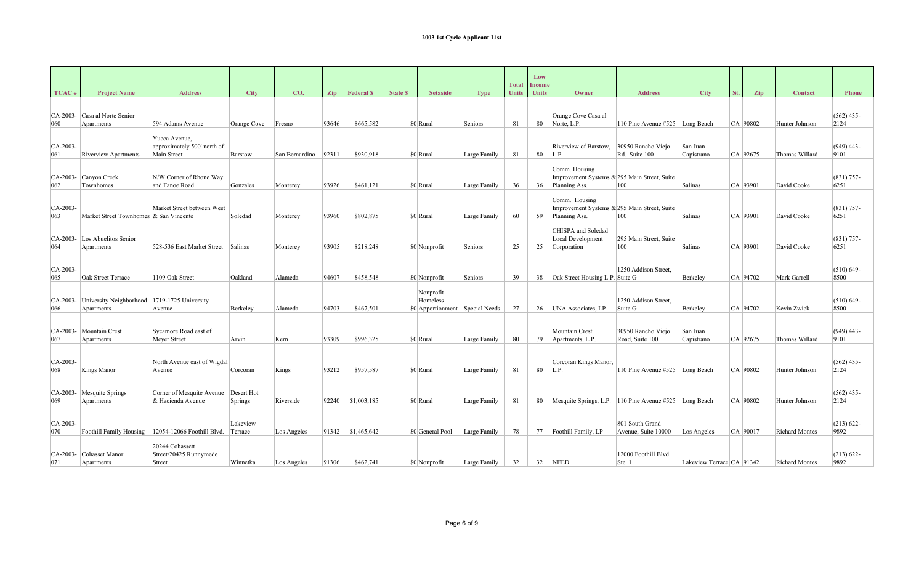|                   |                                                |                                       |                    |                |            |                  |                |                                 |              |                              | Low                           |                                                               |                                 |                           |            |     |                       |                       |
|-------------------|------------------------------------------------|---------------------------------------|--------------------|----------------|------------|------------------|----------------|---------------------------------|--------------|------------------------------|-------------------------------|---------------------------------------------------------------|---------------------------------|---------------------------|------------|-----|-----------------------|-----------------------|
| TCAC#             | <b>Project Name</b>                            | <b>Address</b>                        | <b>City</b>        | CO.            |            | <b>Federal S</b> | <b>State S</b> | <b>Setaside</b>                 |              | <b>Total</b><br><b>Units</b> | <b>Income</b><br><b>Units</b> | Owner                                                         | <b>Address</b>                  | <b>City</b>               |            |     | <b>Contact</b>        | <b>Phone</b>          |
|                   |                                                |                                       |                    |                | <b>Zip</b> |                  |                |                                 | <b>Type</b>  |                              |                               |                                                               |                                 |                           | St.        | Zip |                       |                       |
| $CA-2003-$        | Casa al Norte Senior                           |                                       |                    |                |            |                  |                |                                 |              |                              |                               | Orange Cove Casa al                                           |                                 |                           |            |     |                       | $(562)$ 435-          |
| 060               | Apartments                                     | 594 Adams Avenue                      | Orange Cove Fresno |                | 93646      | \$665,582        |                | \$0 Rural                       | Seniors      | 81                           | 80                            | Norte, L.P.                                                   | 110 Pine Avenue #525 Long Beach |                           | CA 90802   |     | Hunter Johnson        | 2124                  |
|                   |                                                | Yucca Avenue,                         |                    |                |            |                  |                |                                 |              |                              |                               |                                                               |                                 |                           |            |     |                       |                       |
| $CA-2003-$        |                                                | approximately 500' north of           |                    |                |            |                  |                |                                 |              |                              |                               | Riverview of Barstow,                                         | 30950 Rancho Viejo              | San Juan                  |            |     |                       | $(949)$ 443-          |
| 061               | Riverview Apartments                           | Main Street                           | Barstow            | San Bernardino | 92311      | \$930,918        |                | \$0 Rural                       | Large Family | 81                           | 80                            | L.P.                                                          | Rd. Suite 100                   | Capistrano                | CA 92675   |     | Thomas Willard        | 9101                  |
|                   |                                                |                                       |                    |                |            |                  |                |                                 |              |                              |                               | Comm. Housing                                                 |                                 |                           |            |     |                       |                       |
| CA-2003-          | Canyon Creek                                   | N/W Corner of Rhone Way               |                    |                |            |                  |                |                                 |              |                              |                               | Improvement Systems & 295 Main Street, Suite                  |                                 |                           |            |     |                       | $(831)$ 757-          |
| 062               | Townhomes                                      | and Fanoe Road                        | Gonzales           | Monterey       | 93926      | \$461,121        |                | \$0 Rural                       | Large Family | 36                           | 36                            | Planning Ass.                                                 | 100                             | Salinas                   | CA 93901   |     | David Cooke           | 6251                  |
|                   |                                                |                                       |                    |                |            |                  |                |                                 |              |                              |                               | Comm. Housing                                                 |                                 |                           |            |     |                       |                       |
| $CA-2003-$<br>063 | Market Street Townhomes & San Vincente         | Market Street between West            | Soledad            |                | 93960      | \$802,875        |                | \$0 Rural                       | Large Family | 60                           | 59                            | Improvement Systems & 295 Main Street, Suite<br>Planning Ass. | 100                             | <b>Salinas</b>            | CA 93901   |     | David Cooke           | $(831) 757 -$<br>6251 |
|                   |                                                |                                       |                    | Monterey       |            |                  |                |                                 |              |                              |                               |                                                               |                                 |                           |            |     |                       |                       |
|                   |                                                |                                       |                    |                |            |                  |                |                                 |              |                              |                               | CHISPA and Soledad                                            |                                 |                           |            |     |                       | $(831) 757-$          |
| $CA-2003-$<br>064 | Los Abuelitos Senior<br>Apartments             | 528-536 East Market Street Salinas    |                    | Monterey       | 93905      | \$218,248        |                | \$0 Nonprofit                   | Seniors      | 25                           | 25                            | Local Development<br>Corporation                              | 295 Main Street, Suite<br>100   | Salinas                   | CA 93901   |     | David Cooke           | 6251                  |
|                   |                                                |                                       |                    |                |            |                  |                |                                 |              |                              |                               |                                                               |                                 |                           |            |     |                       |                       |
| $CA-2003-$        |                                                |                                       |                    |                |            |                  |                |                                 |              |                              |                               |                                                               | 1250 Addison Street,            |                           |            |     |                       | $(510) 649 -$         |
| 065               | Oak Street Terrace                             | 1109 Oak Street                       | Oakland            | Alameda        | 94607      | \$458,548        |                | \$0 Nonprofit                   | Seniors      | 39                           |                               | 38 Oak Street Housing L.P. Suite G                            |                                 | Berkeley                  | CA 94702   |     | Mark Garrell          | 8500                  |
|                   |                                                |                                       |                    |                |            |                  |                | Nonprofit                       |              |                              |                               |                                                               |                                 |                           |            |     |                       |                       |
| $CA-2003-$        | University Neighborhood   1719-1725 University |                                       |                    |                |            |                  |                | Homeless                        |              |                              |                               |                                                               | 1250 Addison Street,            |                           |            |     |                       | $(510) 649 -$         |
| 066               | Apartments                                     | Avenue                                | Berkeley           | Alameda        | 94703      | \$467,501        |                | \$0 Apportionment Special Needs |              | 27                           |                               | 26 UNA Associates, LP                                         | Suite G                         | Berkeley                  | CA 94702   |     | Kevin Zwick           | 8500                  |
|                   |                                                |                                       |                    |                |            |                  |                |                                 |              |                              |                               |                                                               |                                 |                           |            |     |                       |                       |
| CA-2003-          | Mountain Crest                                 | Sycamore Road east of                 |                    |                |            |                  |                |                                 |              |                              |                               | Mountain Crest                                                | 30950 Rancho Viejo              | San Juan                  |            |     |                       | $(949)$ 443-          |
| 067               | Apartments                                     | Meyer Street                          | Arvin              | Kern           | 93309      | \$996.325        |                | \$0 Rural                       | Large Family | 80                           | 79                            | Apartments, L.P.                                              | Road, Suite 100                 | Capistrano                | CA 92675   |     | Thomas Willard        | 9101                  |
|                   |                                                |                                       |                    |                |            |                  |                |                                 |              |                              |                               |                                                               |                                 |                           |            |     |                       |                       |
| $CA-2003-$<br>068 | Kings Manor                                    | North Avenue east of Wigdal<br>Avenue | Corcoran           | Kings          | 93212      | \$957,587        |                | \$0 Rural                       | Large Family | 81                           | 80                            | Corcoran Kings Manor,<br>L.P.                                 | 110 Pine Avenue #525 Long Beach |                           | CA 90802   |     | Hunter Johnson        | $(562)$ 435-<br>2124  |
|                   |                                                |                                       |                    |                |            |                  |                |                                 |              |                              |                               |                                                               |                                 |                           |            |     |                       |                       |
| CA-2003-          | Mesquite Springs                               | Corner of Mesquite Avenue             | Desert Hot         |                |            |                  |                |                                 |              |                              |                               |                                                               |                                 |                           |            |     |                       | $(562)$ 435-          |
| 069               | Apartments                                     | & Hacienda Avenue                     | Springs            | Riverside      | 92240      | \$1,003,185      |                | \$0 Rural                       | Large Family | 81                           |                               | 80 Mesquite Springs, L.P. 110 Pine Avenue #525 Long Beach     |                                 |                           | CA 90802   |     | Hunter Johnson        | 2124                  |
|                   |                                                |                                       |                    |                |            |                  |                |                                 |              |                              |                               |                                                               |                                 |                           |            |     |                       |                       |
| $CA-2003-$        |                                                |                                       | Lakeview           |                |            |                  |                |                                 |              |                              |                               |                                                               | 801 South Grand                 |                           |            |     |                       | $(213) 622 -$         |
| 070               | Foothill Family Housing                        | 12054-12066 Foothill Blvd.            | Terrace            | Los Angeles    | 91342      | \$1,465,642      |                | \$0 General Pool                | Large Family | 78                           |                               | 77   Foothill Family, LP                                      | Avenue, Suite 10000             | Los Angeles               | $CA$ 90017 |     | <b>Richard Montes</b> | 9892                  |
|                   |                                                | 20244 Cohassett                       |                    |                |            |                  |                |                                 |              |                              |                               |                                                               |                                 |                           |            |     |                       |                       |
|                   | CA-2003- Cohasset Manor                        | Street/20425 Runnymede                |                    |                |            |                  |                |                                 |              |                              |                               |                                                               | 12000 Foothill Blvd.            |                           |            |     |                       | $(213) 622 -$         |
| 071               | Apartments                                     | Street                                | Winnetka           | Los Angeles    | 91306      | \$462,741        |                | \$0 Nonprofit                   | Large Family | 32                           | 32                            | <b>NEED</b>                                                   | Ste. 1                          | Lakeview Terrace CA 91342 |            |     | <b>Richard Montes</b> | 9892                  |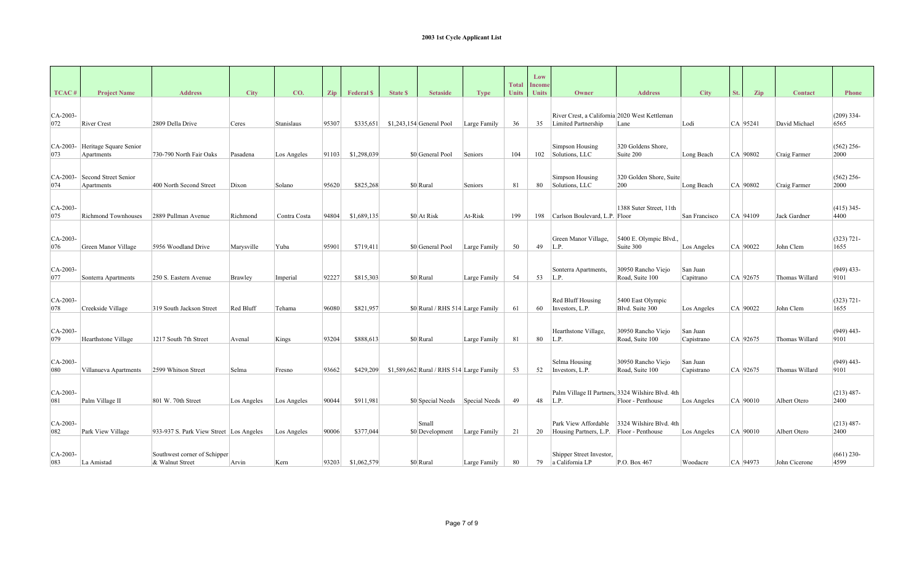|                    |                                      |                                         |             |              |       |                  |                |                                           |              |                              | Low                           |                                                                    |                                                   |                        |            |                |                       |
|--------------------|--------------------------------------|-----------------------------------------|-------------|--------------|-------|------------------|----------------|-------------------------------------------|--------------|------------------------------|-------------------------------|--------------------------------------------------------------------|---------------------------------------------------|------------------------|------------|----------------|-----------------------|
| TCAC <sup>#</sup>  | <b>Project Name</b>                  | <b>Address</b>                          | <b>City</b> | CO.          | Zip   | <b>Federal S</b> | <b>State S</b> | <b>Setaside</b>                           | <b>Type</b>  | <b>Total</b><br><b>Units</b> | <b>Income</b><br><b>Units</b> | Owner                                                              | <b>Address</b>                                    | <b>City</b>            | St.<br>Zip | Contact        | <b>Phone</b>          |
|                    |                                      |                                         |             |              |       |                  |                |                                           |              |                              |                               |                                                                    |                                                   |                        |            |                |                       |
| $ CA-2003-$        |                                      |                                         |             |              |       |                  |                |                                           |              |                              |                               | River Crest, a California 2020 West Kettleman                      |                                                   |                        |            |                | $(209)$ 334-          |
| 072                | <b>River Crest</b>                   | 2809 Della Drive                        | Ceres       | Stanislaus   | 95307 | \$335,651        |                | $$1,243,154$ General Pool                 | Large Family | 36                           | 35                            | Limited Partnership                                                | Lane                                              | Lodi                   | CA 95241   | David Michael  | 6565                  |
|                    |                                      |                                         |             |              |       |                  |                |                                           |              |                              |                               |                                                                    |                                                   |                        |            |                |                       |
| $CA-2003-$<br>073  | Heritage Square Senior<br>Apartments | 730-790 North Fair Oaks                 | Pasadena    | Los Angeles  | 91103 | \$1,298,039      |                | \$0 General Pool                          | Seniors      | 104                          | 102                           | Simpson Housing<br>Solutions, LLC                                  | 320 Goldens Shore,<br>Suite 200                   | Long Beach             | CA 90802   | Craig Farmer   | $(562)$ 256-<br>2000  |
|                    |                                      |                                         |             |              |       |                  |                |                                           |              |                              |                               |                                                                    |                                                   |                        |            |                |                       |
| $CA-2003-$         | Second Street Senior                 |                                         |             |              |       |                  |                |                                           |              |                              |                               | Simpson Housing                                                    | 320 Golden Shore, Suite                           |                        |            |                | $(562)$ 256-          |
| 074                | Apartments                           | 400 North Second Street                 | Dixon       | Solano       | 95620 | \$825,268        |                | \$0 Rural                                 | Seniors      | 81                           | 80                            | Solutions, LLC                                                     | 200                                               | Long Beach             | CA 90802   | Craig Farmer   | 2000                  |
| $CA-2003$          |                                      |                                         |             |              |       |                  |                |                                           |              |                              |                               |                                                                    | 1388 Suter Street, 11th                           |                        |            |                | $(415)$ 345-          |
| 075                | <b>Richmond Townhouses</b>           | 2889 Pullman Avenue                     | Richmond    | Contra Costa | 94804 | \$1,689,135      |                | \$0 At Risk                               | At-Risk      | 199                          | 198                           | Carlson Boulevard, L.P. Floor                                      |                                                   | San Francisco          | CA 94109   | Jack Gardner   | 4400                  |
|                    |                                      |                                         |             |              |       |                  |                |                                           |              |                              |                               |                                                                    |                                                   |                        |            |                |                       |
| $ CA-2003-$<br>076 | Green Manor Village                  | 5956 Woodland Drive                     |             | Yuba         | 95901 | \$719,411        |                | \$0 General Pool                          |              | 50                           | 49                            | Green Manor Village,<br>L.P.                                       | 5400 E. Olympic Blvd.,<br>Suite 300               |                        | CA 90022   | John Clem      | $(323) 721 -$<br>1655 |
|                    |                                      |                                         | Marysville  |              |       |                  |                |                                           | Large Family |                              |                               |                                                                    |                                                   | Los Angeles            |            |                |                       |
| $CA-2003-$         |                                      |                                         |             |              |       |                  |                |                                           |              |                              |                               | Sonterra Apartments,                                               | 30950 Rancho Viejo                                | San Juan               |            |                | $(949)$ 433-          |
| 077                | Sonterra Apartments                  | 250 S. Eastern Avenue                   | Brawley     | Imperial     | 92227 | \$815,303        |                | \$0 Rural                                 | Large Family | 54                           | 53                            | L.P.                                                               | Road, Suite 100                                   | Capitrano              | CA 92675   | Thomas Willard | 9101                  |
|                    |                                      |                                         |             |              |       |                  |                |                                           |              |                              |                               |                                                                    |                                                   |                        |            |                |                       |
| $CA-2003-$<br>078  | Creekside Village                    | 319 South Jackson Street                | Red Bluff   | Tehama       | 96080 | \$821,957        |                | \$0 Rural / RHS 514 Large Family          |              | 61                           | 60                            | Red Bluff Housing<br>Investors, L.P.                               | 5400 East Olympic<br>Blvd. Suite 300              | Los Angeles            | CA 90022   | John Clem      | $(323) 721 -$<br>1655 |
|                    |                                      |                                         |             |              |       |                  |                |                                           |              |                              |                               |                                                                    |                                                   |                        |            |                |                       |
| $CA-2003-$         |                                      |                                         |             |              |       |                  |                |                                           |              |                              |                               | Hearthstone Village,                                               | 30950 Rancho Viejo                                | San Juan               |            |                | $(949)$ 443-          |
| 079                | Hearthstone Village                  | 1217 South 7th Street                   | Avenal      | Kings        | 93204 | \$888,613        |                | \$0 Rural                                 | Large Family | 81                           | 80                            | L.P.                                                               | Road, Suite 100                                   | Capistrano             | CA 92675   | Thomas Willard | 9101                  |
|                    |                                      |                                         |             |              |       |                  |                |                                           |              |                              |                               |                                                                    |                                                   |                        |            |                |                       |
| $ CA-2003-$<br>080 | Villanueva Apartments                | 2599 Whitson Street                     | Selma       | Fresno       | 93662 | \$429,209        |                | $$1,589,662$ Rural / RHS 514 Large Family |              | 53                           | 52                            | Selma Housing<br>Investors, L.P.                                   | 30950 Rancho Viejo<br>Road, Suite 100             | San Juan<br>Capistrano | CA 92675   | Thomas Willard | $(949)$ 443-<br>9101  |
|                    |                                      |                                         |             |              |       |                  |                |                                           |              |                              |                               |                                                                    |                                                   |                        |            |                |                       |
| $CA-2003-$         |                                      |                                         |             |              |       |                  |                |                                           |              |                              |                               |                                                                    | Palm Village II Partners, 3324 Wilshire Blvd. 4th |                        |            |                | $(213)$ 487-          |
| 081                | Palm Village II                      | 801 W. 70th Street                      | Los Angeles | Los Angeles  | 90044 | \$911,981        |                | \$0 Special Needs Special Needs           |              | 49                           | 48                            | L.P.                                                               | Floor - Penthouse                                 | Los Angeles            | CA 90010   | Albert Otero   | 2400                  |
|                    |                                      |                                         |             |              |       |                  |                |                                           |              |                              |                               |                                                                    |                                                   |                        |            |                |                       |
| $CA-2003-$<br>082  | Park View Village                    | 933-937 S. Park View Street Los Angeles |             | Los Angeles  | 90006 | \$377,044        |                | Small<br>\$0 Development                  | Large Family | 21                           | 20                            | Park View Affordable<br>Housing Partners, L.P.   Floor - Penthouse | 3324 Wilshire Blvd. 4th                           | Los Angeles            | $CA$ 90010 | Albert Otero   | $(213)$ 487-<br>2400  |
|                    |                                      |                                         |             |              |       |                  |                |                                           |              |                              |                               |                                                                    |                                                   |                        |            |                |                       |
| $CA-2003-$         |                                      | Southwest corner of Schipper            |             |              |       |                  |                |                                           |              |                              |                               | Shipper Street Investor,                                           |                                                   |                        |            |                | $(661)$ 230-          |
| 083                | La Amistad                           | & Walnut Street                         | Arvin       | Kern         | 93203 | \$1,062,579      |                | \$0 Rural                                 | Large Family | 80                           | 79                            | a California LP                                                    | P.O. Box 467                                      | Woodacre               | CA 94973   | John Cicerone  | 4599                  |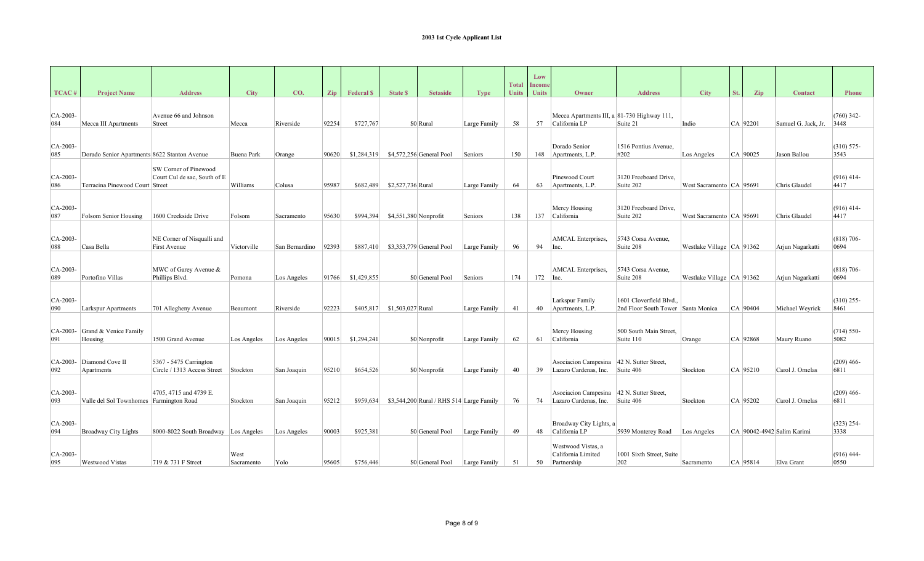|                   |                                              |                                                              |                    |                |       |                  |                   |                                           |              | <b>Total</b> | Low<br><b>Income</b> |                                                                      |                                                              |                               |     |            |                            |                       |
|-------------------|----------------------------------------------|--------------------------------------------------------------|--------------------|----------------|-------|------------------|-------------------|-------------------------------------------|--------------|--------------|----------------------|----------------------------------------------------------------------|--------------------------------------------------------------|-------------------------------|-----|------------|----------------------------|-----------------------|
| TCAC <sup>#</sup> | <b>Project Name</b>                          | <b>Address</b>                                               | <b>City</b>        | CO.            | Zip   | <b>Federal S</b> | <b>State \$</b>   | <b>Setaside</b>                           | <b>Type</b>  | <b>Units</b> | <b>Units</b>         | Owner                                                                | <b>Address</b>                                               | <b>City</b>                   | St. | Zip        | Contact                    | <b>Phone</b>          |
| $CA-2003-$<br>084 | Mecca III Apartments                         | Avenue 66 and Johnson<br>Street                              | Mecca              | Riverside      | 92254 | \$727,767        |                   | $$0 $ Rural                               | Large Family | 58           | 57                   | Mecca Apartments III, a 81-730 Highway 111,<br>California LP         | Suite 21                                                     | Indio                         |     | CA 92201   | Samuel G. Jack, Jr.        | $(760)$ 342-<br>3448  |
| $CA-2003-$<br>085 | Dorado Senior Apartments 8622 Stanton Avenue |                                                              | Buena Park         | Orange         | 90620 | \$1,284,319      |                   | \$4,572,256 General Pool                  | Seniors      | 150          | 148                  | Dorado Senior<br>Apartments, L.P.                                    | 1516 Pontius Avenue,<br>#202                                 | Los Angeles                   |     | CA 90025   | Jason Ballou               | $(310) 575 -$<br>3543 |
| CA-2003-<br>086   | Terracina Pinewood Court Street              | <b>SW Corner of Pinewood</b><br>Court Cul de sac, South of E | Williams           | Colusa         | 95987 | \$682,489        | \$2,527,736 Rural |                                           | Large Family | 64           | 63                   | Pinewood Court<br>Apartments, L.P.                                   | 3120 Freeboard Drive.<br>Suite 202                           | West Sacramento   CA   95691  |     |            | Chris Glaudel              | $(916)$ 414-<br>4417  |
| $CA-2003-$<br>087 | Folsom Senior Housing                        | 1600 Creekside Drive                                         | Folsom             | Sacramento     | 95630 | \$994,394        |                   | $$4,551,380$ Nonprofit                    | Seniors      | 138          | 137                  | Mercy Housing<br>California                                          | 3120 Freeboard Drive.<br>Suite 202                           | West Sacramento   CA   95691  |     |            | Chris Glaudel              | $(916)$ 414-<br>4417  |
| $CA-2003$<br>088  | Casa Bella                                   | NE Corner of Nisqualli and<br>First Avenue                   | Victorville        | San Bernardino | 92393 | \$887,410        |                   | $$3,353,779$ General Pool                 | Large Family | 96           | 94                   | AMCAL Enterprises,<br>Inc.                                           | 5743 Corsa Avenue.<br>Suite 208                              | Westlake Village   CA   91362 |     |            | Arjun Nagarkatti           | $(818) 706-$<br>0694  |
| $CA-2003-$<br>089 | Portofino Villas                             | MWC of Garey Avenue &<br>Phillips Blvd.                      | Pomona             | Los Angeles    | 91766 | \$1,429,855      |                   | \$0 General Pool                          | Seniors      | 174          | 172                  | AMCAL Enterprises,<br>Inc.                                           | 5743 Corsa Avenue,<br>Suite 208                              | Westlake Village   CA   91362 |     |            | Arjun Nagarkatti           | $(818)$ 706-<br>0694  |
| CA-2003-<br>090   | Larkspur Apartments                          | 701 Allegheny Avenue                                         | Beaumont           | Riverside      | 92223 | \$405,817        | \$1,503,027 Rural |                                           | Large Family | 41           | 40                   | Larkspur Family<br>Apartments, L.P.                                  | 1601 Cloverfield Blvd.<br>2nd Floor South Tower Santa Monica |                               |     | $CA$ 90404 | Michael Weyrick            | $(310)$ 255-<br>8461  |
| $CA-2003-$<br>091 | Grand & Venice Family<br>Housing             | 1500 Grand Avenue                                            | Los Angeles        | Los Angeles    | 90015 | \$1,294,241      |                   | \$0 Nonprofit                             | Large Family | 62           | 61                   | Mercy Housing<br>California                                          | 500 South Main Street.<br>Suite 110                          | Orange                        |     | CA 92868   | Maury Ruano                | $(714) 550-$<br>5082  |
| CA-2003-<br>092   | Diamond Cove II<br>Apartments                | 5367 - 5475 Carrington<br>Circle / 1313 Access Street        | Stockton           | San Joaquin    | 95210 | \$654,526        |                   | \$0 Nonprofit                             | Large Family | 40           | 39                   | Asociacion Campesina   42 N. Sutter Street,<br>Lazaro Cardenas, Inc. | Suite 406                                                    | Stockton                      |     | CA 95210   | Carol J. Ornelas           | $(209)$ 466-<br>6811  |
| $CA-2003-$<br>093 | Valle del Sol Townhomes Farmington Road      | 4705, 4715 and 4739 E.                                       | Stockton           | San Joaquin    | 95212 | \$959,634        |                   | $$3,544,200$ Rural / RHS 514 Large Family |              | 76           | 74                   | Asociacion Campesina<br>Lazaro Cardenas, Inc.                        | 42 N. Sutter Street,<br>Suite 406                            | Stockton                      |     | CA 95202   | Carol J. Ornelas           | $(209)$ 466-<br>6811  |
| $CA-2003-$<br>094 | <b>Broadway City Lights</b>                  | 8000-8022 South Broadway Los Angeles                         |                    | Los Angeles    | 90003 | \$925,381        |                   | \$0 General Pool                          | Large Family | 49           | 48                   | Broadway City Lights, a<br>California LP                             | 5939 Monterey Road                                           | Los Angeles                   |     |            | CA 90042-4942 Salim Karimi | $(323)$ 254-<br>3338  |
| $CA-2003-$<br>095 | <b>Westwood Vistas</b>                       | 719 & 731 F Street                                           | West<br>Sacramento | Yolo           | 95605 | \$756,446        |                   | \$0 General Pool                          | Large Family | 51           | 50                   | Westwood Vistas, a<br>California Limited<br>Partnership              | 1001 Sixth Street, Suite<br>202                              | Sacramento                    |     | CA 95814   | Elva Grant                 | $(916)$ 444-<br>0550  |